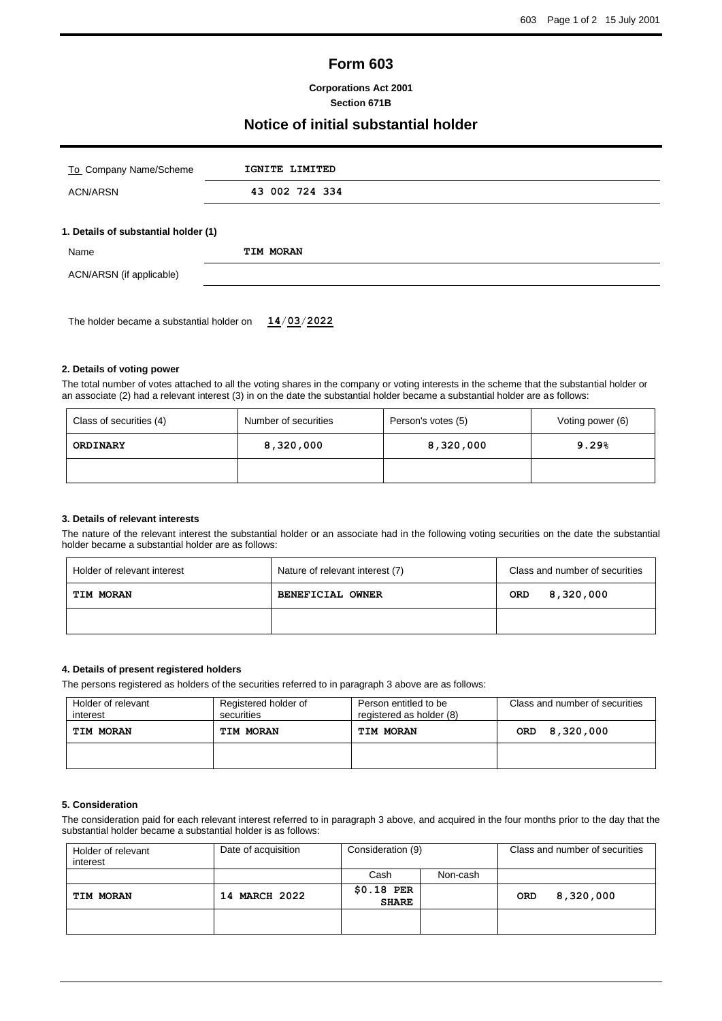# **Form 603**

#### **Corporations Act 2001 Section 671B**

## **Notice of initial substantial holder**

| To Company Name/Scheme                    | IGNITE LIMITED |  |
|-------------------------------------------|----------------|--|
| <b>ACN/ARSN</b>                           | 43 002 724 334 |  |
| 1. Details of substantial holder (1)      |                |  |
| Name                                      | TIM MORAN      |  |
| ACN/ARSN (if applicable)                  |                |  |
|                                           |                |  |
| The holder became a substantial holder on | 14/03/2022     |  |

The total number of votes attached to all the voting shares in the company or voting interests in the scheme that the substantial holder or an associate (2) had a relevant interest (3) in on the date the substantial holder became a substantial holder are as follows:

| Class of securities (4) | Number of securities | Person's votes (5) | Voting power (6) |
|-------------------------|----------------------|--------------------|------------------|
| ORDINARY                | 8,320,000            | 8,320,000          | 9.29%            |
|                         |                      |                    |                  |

#### **3. Details of relevant interests**

**2. Details of voting power**

The nature of the relevant interest the substantial holder or an associate had in the following voting securities on the date the substantial holder became a substantial holder are as follows:

| Holder of relevant interest | Nature of relevant interest (7)<br>Class and number of securities |                  |
|-----------------------------|-------------------------------------------------------------------|------------------|
| <b>TIM MORAN</b>            | <b>BENEFICIAL OWNER</b>                                           | 8,320,000<br>ORD |
|                             |                                                                   |                  |

#### **4. Details of present registered holders**

The persons registered as holders of the securities referred to in paragraph 3 above are as follows:

| Holder of relevant<br>interest | Registered holder of<br>securities | Person entitled to be<br>registered as holder (8) | Class and number of securities |  |
|--------------------------------|------------------------------------|---------------------------------------------------|--------------------------------|--|
| <b>TIM MORAN</b>               | TIM MORAN                          | TIM MORAN                                         | 8,320,000<br><b>ORD</b>        |  |
|                                |                                    |                                                   |                                |  |

## **5. Consideration**

The consideration paid for each relevant interest referred to in paragraph 3 above, and acquired in the four months prior to the day that the substantial holder became a substantial holder is as follows:

| Holder of relevant<br>interest | Date of acquisition     | Consideration (9)           |          | Class and number of securities |           |
|--------------------------------|-------------------------|-----------------------------|----------|--------------------------------|-----------|
|                                |                         | Cash                        | Non-cash |                                |           |
| TIM MORAN                      | <b>MARCH 2022</b><br>14 | $$0.18$ PER<br><b>SHARE</b> |          | <b>ORD</b>                     | 8,320,000 |
|                                |                         |                             |          |                                |           |